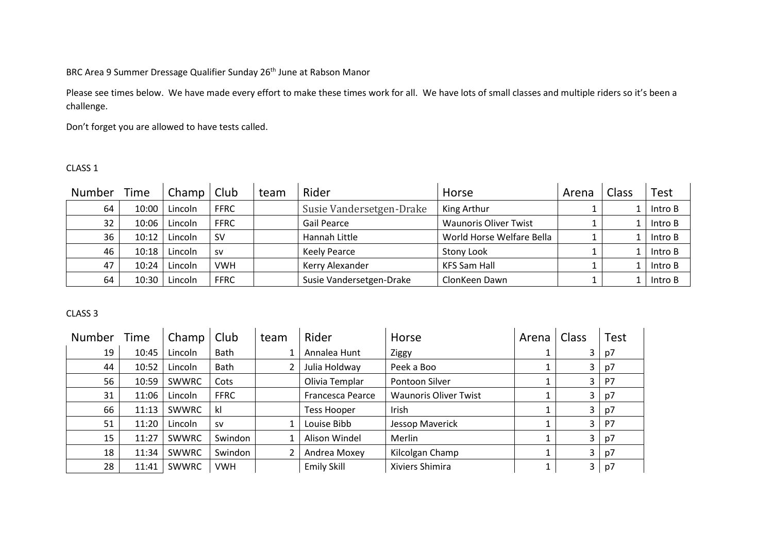BRC Area 9 Summer Dressage Qualifier Sunday 26<sup>th</sup> June at Rabson Manor

Please see times below. We have made every effort to make these times work for all. We have lots of small classes and multiple riders so it's been a challenge.

Don't forget you are allowed to have tests called.

## CLASS 1

| Number | Time    | Champ $ $ Club |             | team | Rider                    | Horse                        | Arena | Class | Test    |
|--------|---------|----------------|-------------|------|--------------------------|------------------------------|-------|-------|---------|
| 64     | 10:00   | Lincoln        | <b>FFRC</b> |      | Susie Vandersetgen-Drake | King Arthur                  |       |       | Intro B |
| 32     | 10:06 l | Lincoln        | <b>FFRC</b> |      | Gail Pearce              | <b>Waunoris Oliver Twist</b> |       |       | Intro B |
| 36     | $10:12$ | Lincoln        | .sv         |      | Hannah Little            | World Horse Welfare Bella    |       |       | Intro B |
| 46     | 10:18   | Lincoln        | <b>SV</b>   |      | <b>Keely Pearce</b>      | Stony Look                   |       |       | Intro B |
| 47     | 10:24   | Lincoln        | <b>VWH</b>  |      | Kerry Alexander          | <b>KFS Sam Hall</b>          |       |       | Intro B |
| 64     | 10:30   | Lincoln        | <b>FFRC</b> |      | Susie Vandersetgen-Drake | ClonKeen Dawn                |       |       | Intro B |

| Number | Time  | Champ        | Club        | team | Rider              | Horse                        | Arena | Class                   | <b>Test</b> |
|--------|-------|--------------|-------------|------|--------------------|------------------------------|-------|-------------------------|-------------|
| 19     | 10:45 | Lincoln      | Bath        |      | Annalea Hunt       | Ziggy                        |       | 3                       | p7          |
| 44     | 10:52 | Lincoln      | Bath        |      | Julia Holdway      | Peek a Boo                   |       | 3                       | p7          |
| 56     | 10:59 | <b>SWWRC</b> | Cots        |      | Olivia Templar     | Pontoon Silver               |       | $\mathbf{3}$            | P7          |
| 31     | 11:06 | Lincoln      | <b>FFRC</b> |      | Francesca Pearce   | <b>Waunoris Oliver Twist</b> |       | $\mathbf{3}$            | p7          |
| 66     | 11:13 | <b>SWWRC</b> | kl          |      | <b>Tess Hooper</b> | Irish                        |       | 3                       | p7          |
| 51     | 11:20 | Lincoln      | <b>SV</b>   |      | Louise Bibb        | Jessop Maverick              |       | 3                       | P7          |
| 15     | 11:27 | <b>SWWRC</b> | Swindon     |      | Alison Windel      | Merlin                       |       | $\mathbf{3}$            | p7          |
| 18     | 11:34 | <b>SWWRC</b> | Swindon     |      | Andrea Moxey       | Kilcolgan Champ              |       | $\mathbf{3}$            | p7          |
| 28     | 11:41 | <b>SWWRC</b> | <b>VWH</b>  |      | <b>Emily Skill</b> | Xiviers Shimira              |       | $\overline{\mathbf{3}}$ | p7          |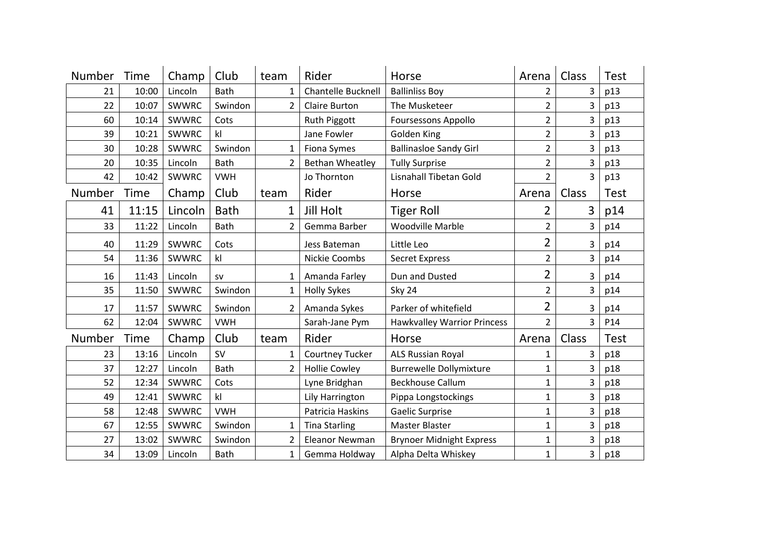| Number | Time        | Champ   | Club           | team           | Rider                  | Horse                              | Arena          | Class | <b>Test</b> |
|--------|-------------|---------|----------------|----------------|------------------------|------------------------------------|----------------|-------|-------------|
| 21     | 10:00       | Lincoln | Bath           | $\mathbf{1}$   | Chantelle Bucknell     | <b>Ballinliss Boy</b>              | $\overline{2}$ | 3     | p13         |
| 22     | 10:07       | SWWRC   | Swindon        | 2              | <b>Claire Burton</b>   | The Musketeer                      | 2              | 3     | p13         |
| 60     | 10:14       | SWWRC   | Cots           |                | <b>Ruth Piggott</b>    | <b>Foursessons Appollo</b>         | $\overline{2}$ | 3     | p13         |
| 39     | 10:21       | SWWRC   | k              |                | Jane Fowler            | Golden King                        | $\overline{2}$ | 3     | p13         |
| 30     | 10:28       | SWWRC   | Swindon        | $\mathbf{1}$   | <b>Fiona Symes</b>     | <b>Ballinasloe Sandy Girl</b>      | $\overline{2}$ | 3     | p13         |
| 20     | 10:35       | Lincoln | Bath           | 2              | <b>Bethan Wheatley</b> | <b>Tully Surprise</b>              | $\overline{2}$ | 3     | p13         |
| 42     | 10:42       | SWWRC   | <b>VWH</b>     |                | Jo Thornton            | Lisnahall Tibetan Gold             | $\overline{2}$ | 3     | p13         |
| Number | <b>Time</b> | Champ   | Club           | team           | Rider                  | Horse                              | Arena          | Class | <b>Test</b> |
| 41     | 11:15       | Lincoln | <b>Bath</b>    | 1              | <b>Jill Holt</b>       | <b>Tiger Roll</b>                  | 2              | 3     | p14         |
| 33     | 11:22       | Lincoln | Bath           | $\overline{2}$ | Gemma Barber           | <b>Woodville Marble</b>            | $\overline{2}$ | 3     | p14         |
| 40     | 11:29       | SWWRC   | Cots           |                | Jess Bateman           | Little Leo                         | 2              | 3     | p14         |
| 54     | 11:36       | SWWRC   | k              |                | Nickie Coombs          | <b>Secret Express</b>              | $\overline{2}$ | 3     | p14         |
| 16     | 11:43       | Lincoln | <b>SV</b>      | $\mathbf{1}$   | Amanda Farley          | Dun and Dusted                     | 2              | 3     | p14         |
| 35     | 11:50       | SWWRC   | Swindon        | 1              | <b>Holly Sykes</b>     | Sky 24                             | $\overline{2}$ | 3     | p14         |
| 17     | 11:57       | SWWRC   | Swindon        | $\overline{2}$ | Amanda Sykes           | Parker of whitefield               | 2              | 3     | p14         |
| 62     | 12:04       | SWWRC   | <b>VWH</b>     |                | Sarah-Jane Pym         | <b>Hawkvalley Warrior Princess</b> | $\overline{2}$ | 3     | P14         |
| Number | Time        | Champ   | Club           | team           | Rider                  | Horse                              | Arena          | Class | <b>Test</b> |
| 23     | 13:16       | Lincoln | <b>SV</b>      | 1              | <b>Courtney Tucker</b> | <b>ALS Russian Royal</b>           | 1              | 3     | p18         |
| 37     | 12:27       | Lincoln | Bath           | 2              | <b>Hollie Cowley</b>   | <b>Burrewelle Dollymixture</b>     | $\mathbf{1}$   | 3     | p18         |
| 52     | 12:34       | SWWRC   | Cots           |                | Lyne Bridghan          | <b>Beckhouse Callum</b>            | $\mathbf{1}$   | 3     | p18         |
| 49     | 12:41       | SWWRC   | k <sub>l</sub> |                | Lily Harrington        | Pippa Longstockings                | 1              | 3     | p18         |
| 58     | 12:48       | SWWRC   | <b>VWH</b>     |                | Patricia Haskins       | Gaelic Surprise                    | $\mathbf{1}$   | 3     | p18         |
| 67     | 12:55       | SWWRC   | Swindon        | 1              | <b>Tina Starling</b>   | <b>Master Blaster</b>              | $\mathbf{1}$   | 3     | p18         |
| 27     | 13:02       | SWWRC   | Swindon        | $\overline{2}$ | <b>Eleanor Newman</b>  | <b>Brynoer Midnight Express</b>    | $\mathbf{1}$   | 3     | p18         |
| 34     | 13:09       | Lincoln | Bath           | 1              | Gemma Holdway          | Alpha Delta Whiskey                | 1              | 3     | p18         |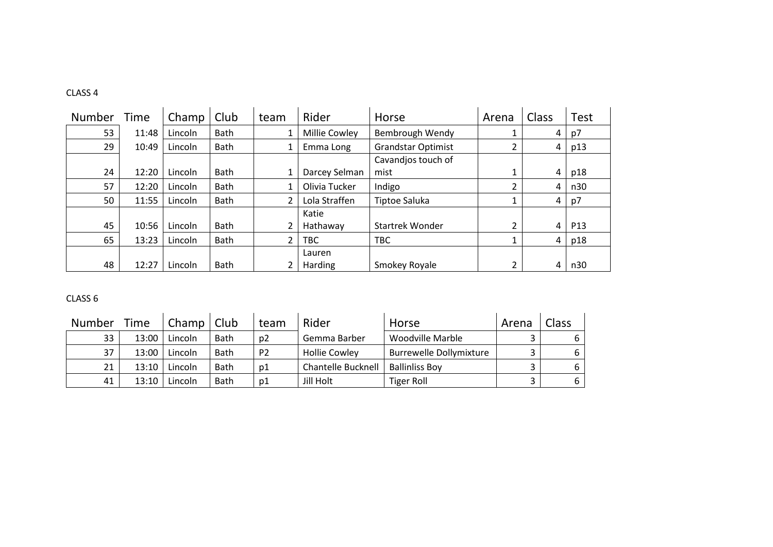## CLASS 4

| Number | Time  | Champ   | Club        | team          | Rider         | Horse                     | Arena | Class | <b>Test</b>     |
|--------|-------|---------|-------------|---------------|---------------|---------------------------|-------|-------|-----------------|
| 53     | 11:48 | Lincoln | <b>Bath</b> |               | Millie Cowley | Bembrough Wendy           |       | 4     | p7              |
| 29     | 10:49 | Lincoln | <b>Bath</b> |               | Emma Long     | <b>Grandstar Optimist</b> |       | 4     | p13             |
|        |       |         |             |               |               | Cavandjos touch of        |       |       |                 |
| 24     | 12:20 | Lincoln | Bath        |               | Darcey Selman | mist                      |       | 4     | p18             |
| 57     | 12:20 | Lincoln | <b>Bath</b> |               | Olivia Tucker | Indigo                    |       | 4     | n30             |
| 50     | 11:55 | Lincoln | Bath        | $\mathcal{L}$ | Lola Straffen | Tiptoe Saluka             |       | 4     | p7              |
|        |       |         |             |               | Katie         |                           |       |       |                 |
| 45     | 10:56 | Lincoln | <b>Bath</b> |               | Hathaway      | <b>Startrek Wonder</b>    |       | 4     | P <sub>13</sub> |
| 65     | 13:23 | Lincoln | <b>Bath</b> | $\mathbf{2}$  | TBC           | <b>TBC</b>                |       | 4     | p18             |
|        |       |         |             |               | Lauren        |                           |       |       |                 |
| 48     | 12:27 | Lincoln | <b>Bath</b> |               | Harding       | Smokey Royale             |       | 4     | n30             |

| <b>Number</b> | Time  | Champ   | Club        | team           | Rider                | Horse                          | Arena | Class |
|---------------|-------|---------|-------------|----------------|----------------------|--------------------------------|-------|-------|
| 33            | 13:00 | Lincoln | <b>Bath</b> | p2             | Gemma Barber         | Woodville Marble               |       |       |
| 37            | 13:00 | Lincoln | <b>Bath</b> | P <sub>2</sub> | <b>Hollie Cowley</b> | <b>Burrewelle Dollymixture</b> |       |       |
| 21            | 13:10 | Lincoln | <b>Bath</b> | p1             | Chantelle Bucknell   | <b>Ballinliss Boy</b>          |       | 6     |
| 41            | 13:10 | Lincoln | <b>Bath</b> | p1             | Jill Holt            | <b>Tiger Roll</b>              |       | 6     |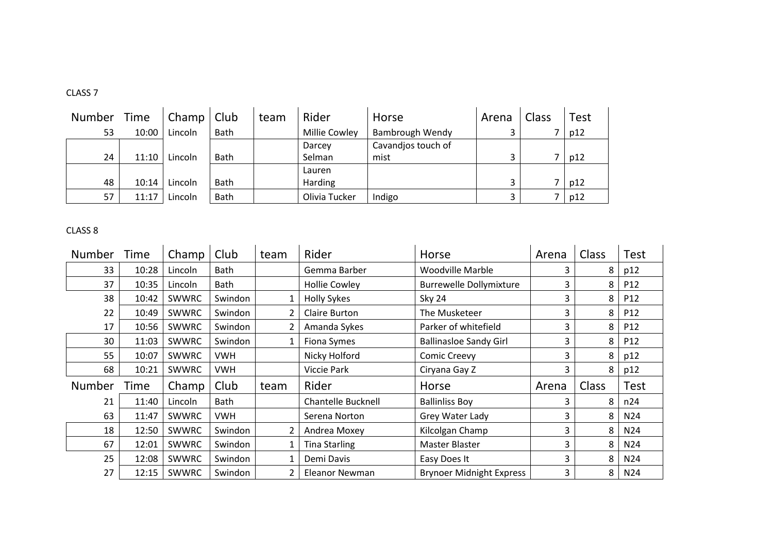| Number | Time  | Champ   | Club        | team | Rider         | Horse                  | Arena | Class | <b>Test</b> |
|--------|-------|---------|-------------|------|---------------|------------------------|-------|-------|-------------|
| 53     | 10:00 | Lincoln | Bath        |      | Millie Cowley | <b>Bambrough Wendy</b> |       |       | p12         |
|        |       |         |             |      | Darcey        | Cavandjos touch of     |       |       |             |
| 24     | 11:10 | Lincoln | <b>Bath</b> |      | Selman        | mist                   |       |       | p12         |
|        |       |         |             |      | Lauren        |                        |       |       |             |
| 48     | 10:14 | Lincoln | <b>Bath</b> |      | Harding       |                        |       |       | p12         |
| 57     | 11:17 | Lincoln | Bath        |      | Olivia Tucker | Indigo                 |       |       | p12         |

| <b>Number</b> | Time  | Champ        | Club       | team | Rider                     | Horse                           | Arena | Class | <b>Test</b>     |
|---------------|-------|--------------|------------|------|---------------------------|---------------------------------|-------|-------|-----------------|
| 33            | 10:28 | Lincoln      | Bath       |      | Gemma Barber              | Woodville Marble                | 3     | 8     | p12             |
| 37            | 10:35 | Lincoln      | Bath       |      | <b>Hollie Cowley</b>      | <b>Burrewelle Dollymixture</b>  | 3     | 8     | P <sub>12</sub> |
| 38            | 10:42 | <b>SWWRC</b> | Swindon    | 1    | <b>Holly Sykes</b>        | <b>Sky 24</b>                   | 3     | 8     | P12             |
| 22            | 10:49 | <b>SWWRC</b> | Swindon    | 2    | Claire Burton             | The Musketeer                   | 3     | 8     | P12             |
| 17            | 10:56 | <b>SWWRC</b> | Swindon    | 2    | Amanda Sykes              | Parker of whitefield            | 3     | 8     | P12             |
| 30            | 11:03 | <b>SWWRC</b> | Swindon    | 1    | Fiona Symes               | <b>Ballinasloe Sandy Girl</b>   | 3     | 8     | P <sub>12</sub> |
| 55            | 10:07 | <b>SWWRC</b> | <b>VWH</b> |      | Nicky Holford             | <b>Comic Creevy</b>             | 3     | 8     | p12             |
| 68            | 10:21 | <b>SWWRC</b> | <b>VWH</b> |      | Viccie Park               | Ciryana Gay Z                   | 3     | 8     | p12             |
| <b>Number</b> | Time  | Champ        | Club       | team | Rider                     | Horse                           | Arena | Class | <b>Test</b>     |
| 21            | 11:40 | Lincoln      | Bath       |      | <b>Chantelle Bucknell</b> | <b>Ballinliss Boy</b>           | 3     | 8     | n24             |
| 63            | 11:47 | <b>SWWRC</b> | <b>VWH</b> |      | Serena Norton             | Grey Water Lady                 | 3     | 8     | N24             |
| 18            | 12:50 | <b>SWWRC</b> | Swindon    | 2    | Andrea Moxey              | Kilcolgan Champ                 | 3     | 8     | N <sub>24</sub> |
| 67            | 12:01 | <b>SWWRC</b> | Swindon    | 1    | Tina Starling             | Master Blaster                  | 3     | 8     | N24             |
| 25            | 12:08 | <b>SWWRC</b> | Swindon    | 1    | Demi Davis                | Easy Does It                    | 3     | 8     | N24             |
| 27            | 12:15 | SWWRC        | Swindon    | 2    | Eleanor Newman            | <b>Brynoer Midnight Express</b> | 3     | 8     | N24             |